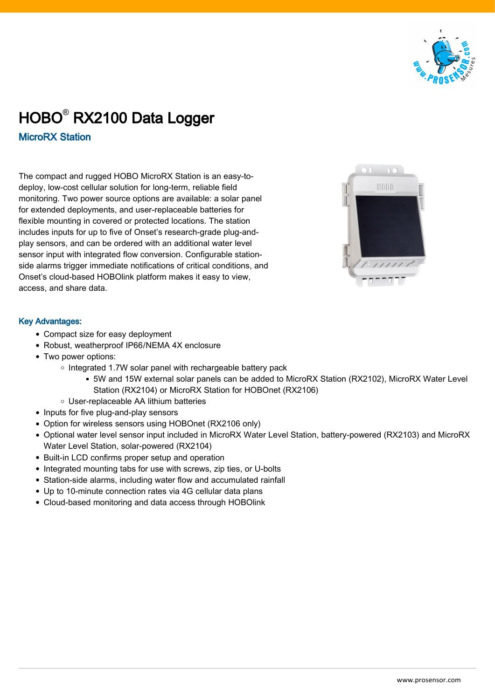

## HOBO® RX2100 Data Logger

MicroRX Station

The compact and rugged HOBO MicroRX Station is an easy-todeploy, low-cost cellular solution for long-term, reliable field monitoring. Two power source options are available: a solar panel for extended deployments, and user-replaceable batteries for flexible mounting in covered or protected locations. The station includes inputs for up to five of Onset's research-grade plug-andplay sensors, and can be ordered with an additional water level sensor input with integrated flow conversion. Configurable stationside alarms trigger immediate notifications of critical conditions, and Onset's cloud-based HOBOlink platform makes it easy to view, access, and share data.



## Key Advantages:

- Compact size for easy deployment
- Robust, weatherproof IP66/NEMA 4X enclosure
- Two power options:
	- $\circ$  Integrated 1.7W solar panel with rechargeable battery pack
		- 5W and 15W external solar panels can be added to MicroRX Station (RX2102), MicroRX Water Level Station (RX2104) or MicroRX Station for HOBOnet (RX2106)
	- User-replaceable AA lithium batteries
- Inputs for five plug-and-play sensors
- Option for wireless sensors using HOBOnet (RX2106 only)
- Optional water level sensor input included in MicroRX Water Level Station, battery-powered (RX2103) and MicroRX Water Level Station, solar-powered (RX2104)
- Built-in LCD confirms proper setup and operation
- Integrated mounting tabs for use with screws, zip ties, or U-bolts
- Station-side alarms, including water flow and accumulated rainfall
- Up to 10-minute connection rates via 4G cellular data plans
- Cloud-based monitoring and data access through HOBOlink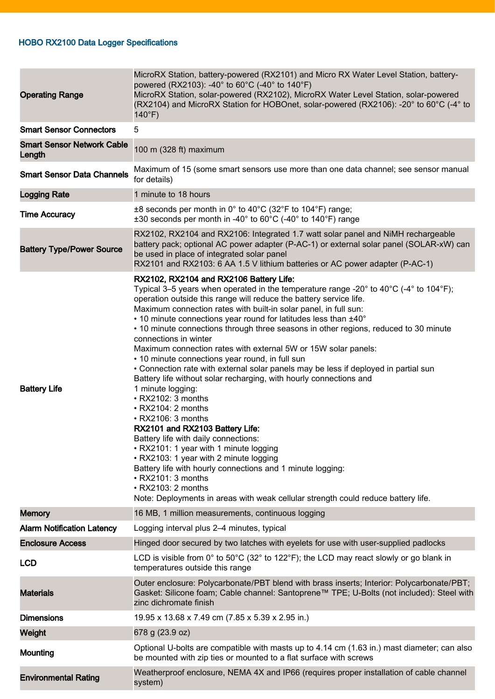## HOBO RX2100 Data Logger Specifications

| <b>Operating Range</b>                      | MicroRX Station, battery-powered (RX2101) and Micro RX Water Level Station, battery-<br>powered (RX2103): -40° to 60°C (-40° to 140°F)<br>MicroRX Station, solar-powered (RX2102), MicroRX Water Level Station, solar-powered<br>(RX2104) and MicroRX Station for HOBOnet, solar-powered (RX2106): -20° to 60°C (-4° to<br>$140^{\circ}F$ )                                                                                                                                                                                                                                                                                                                                                                                                                                                                                                                                                                                                                                                                                                                                                                                                                                                                                                                 |
|---------------------------------------------|-------------------------------------------------------------------------------------------------------------------------------------------------------------------------------------------------------------------------------------------------------------------------------------------------------------------------------------------------------------------------------------------------------------------------------------------------------------------------------------------------------------------------------------------------------------------------------------------------------------------------------------------------------------------------------------------------------------------------------------------------------------------------------------------------------------------------------------------------------------------------------------------------------------------------------------------------------------------------------------------------------------------------------------------------------------------------------------------------------------------------------------------------------------------------------------------------------------------------------------------------------------|
| <b>Smart Sensor Connectors</b>              | 5                                                                                                                                                                                                                                                                                                                                                                                                                                                                                                                                                                                                                                                                                                                                                                                                                                                                                                                                                                                                                                                                                                                                                                                                                                                           |
| <b>Smart Sensor Network Cable</b><br>Length | 100 m (328 ft) maximum                                                                                                                                                                                                                                                                                                                                                                                                                                                                                                                                                                                                                                                                                                                                                                                                                                                                                                                                                                                                                                                                                                                                                                                                                                      |
| <b>Smart Sensor Data Channels</b>           | Maximum of 15 (some smart sensors use more than one data channel; see sensor manual<br>for details)                                                                                                                                                                                                                                                                                                                                                                                                                                                                                                                                                                                                                                                                                                                                                                                                                                                                                                                                                                                                                                                                                                                                                         |
| <b>Logging Rate</b>                         | 1 minute to 18 hours                                                                                                                                                                                                                                                                                                                                                                                                                                                                                                                                                                                                                                                                                                                                                                                                                                                                                                                                                                                                                                                                                                                                                                                                                                        |
| <b>Time Accuracy</b>                        | $\pm 8$ seconds per month in 0° to 40°C (32°F to 104°F) range;<br>$\pm 30$ seconds per month in -40 $\degree$ to 60 $\degree$ C (-40 $\degree$ to 140 $\degree$ F) range                                                                                                                                                                                                                                                                                                                                                                                                                                                                                                                                                                                                                                                                                                                                                                                                                                                                                                                                                                                                                                                                                    |
| <b>Battery Type/Power Source</b>            | RX2102, RX2104 and RX2106: Integrated 1.7 watt solar panel and NiMH rechargeable<br>battery pack; optional AC power adapter (P-AC-1) or external solar panel (SOLAR-xW) can<br>be used in place of integrated solar panel<br>RX2101 and RX2103: 6 AA 1.5 V lithium batteries or AC power adapter (P-AC-1)                                                                                                                                                                                                                                                                                                                                                                                                                                                                                                                                                                                                                                                                                                                                                                                                                                                                                                                                                   |
| <b>Battery Life</b>                         | RX2102, RX2104 and RX2106 Battery Life:<br>Typical 3–5 years when operated in the temperature range -20 $^{\circ}$ to 40 $^{\circ}$ C (-4 $^{\circ}$ to 104 $^{\circ}$ F);<br>operation outside this range will reduce the battery service life.<br>Maximum connection rates with built-in solar panel, in full sun:<br>• 10 minute connections year round for latitudes less than ±40°<br>• 10 minute connections through three seasons in other regions, reduced to 30 minute<br>connections in winter<br>Maximum connection rates with external 5W or 15W solar panels:<br>• 10 minute connections year round, in full sun<br>• Connection rate with external solar panels may be less if deployed in partial sun<br>Battery life without solar recharging, with hourly connections and<br>1 minute logging:<br>$\cdot$ RX2102: 3 months<br>$\cdot$ RX2104: 2 months<br>• RX2106: 3 months<br>RX2101 and RX2103 Battery Life:<br>Battery life with daily connections:<br>• RX2101: 1 year with 1 minute logging<br>• RX2103: 1 year with 2 minute logging<br>Battery life with hourly connections and 1 minute logging:<br>• RX2101: 3 months<br>• RX2103: 2 months<br>Note: Deployments in areas with weak cellular strength could reduce battery life. |
| <b>Memory</b>                               | 16 MB, 1 million measurements, continuous logging                                                                                                                                                                                                                                                                                                                                                                                                                                                                                                                                                                                                                                                                                                                                                                                                                                                                                                                                                                                                                                                                                                                                                                                                           |
| <b>Alarm Notification Latency</b>           | Logging interval plus 2-4 minutes, typical                                                                                                                                                                                                                                                                                                                                                                                                                                                                                                                                                                                                                                                                                                                                                                                                                                                                                                                                                                                                                                                                                                                                                                                                                  |
| <b>Enclosure Access</b>                     | Hinged door secured by two latches with eyelets for use with user-supplied padlocks                                                                                                                                                                                                                                                                                                                                                                                                                                                                                                                                                                                                                                                                                                                                                                                                                                                                                                                                                                                                                                                                                                                                                                         |
| <b>LCD</b>                                  | LCD is visible from 0° to 50°C (32° to 122°F); the LCD may react slowly or go blank in<br>temperatures outside this range                                                                                                                                                                                                                                                                                                                                                                                                                                                                                                                                                                                                                                                                                                                                                                                                                                                                                                                                                                                                                                                                                                                                   |
| <b>Materials</b>                            | Outer enclosure: Polycarbonate/PBT blend with brass inserts; Interior: Polycarbonate/PBT;<br>Gasket: Silicone foam; Cable channel: Santoprene™ TPE; U-Bolts (not included): Steel with<br>zinc dichromate finish                                                                                                                                                                                                                                                                                                                                                                                                                                                                                                                                                                                                                                                                                                                                                                                                                                                                                                                                                                                                                                            |
| <b>Dimensions</b>                           | 19.95 x 13.68 x 7.49 cm (7.85 x 5.39 x 2.95 in.)                                                                                                                                                                                                                                                                                                                                                                                                                                                                                                                                                                                                                                                                                                                                                                                                                                                                                                                                                                                                                                                                                                                                                                                                            |
| Weight                                      | 678 g (23.9 oz)                                                                                                                                                                                                                                                                                                                                                                                                                                                                                                                                                                                                                                                                                                                                                                                                                                                                                                                                                                                                                                                                                                                                                                                                                                             |
| Mounting                                    | Optional U-bolts are compatible with masts up to 4.14 cm (1.63 in.) mast diameter; can also<br>be mounted with zip ties or mounted to a flat surface with screws                                                                                                                                                                                                                                                                                                                                                                                                                                                                                                                                                                                                                                                                                                                                                                                                                                                                                                                                                                                                                                                                                            |
| <b>Environmental Rating</b>                 | Weatherproof enclosure, NEMA 4X and IP66 (requires proper installation of cable channel<br>system)                                                                                                                                                                                                                                                                                                                                                                                                                                                                                                                                                                                                                                                                                                                                                                                                                                                                                                                                                                                                                                                                                                                                                          |